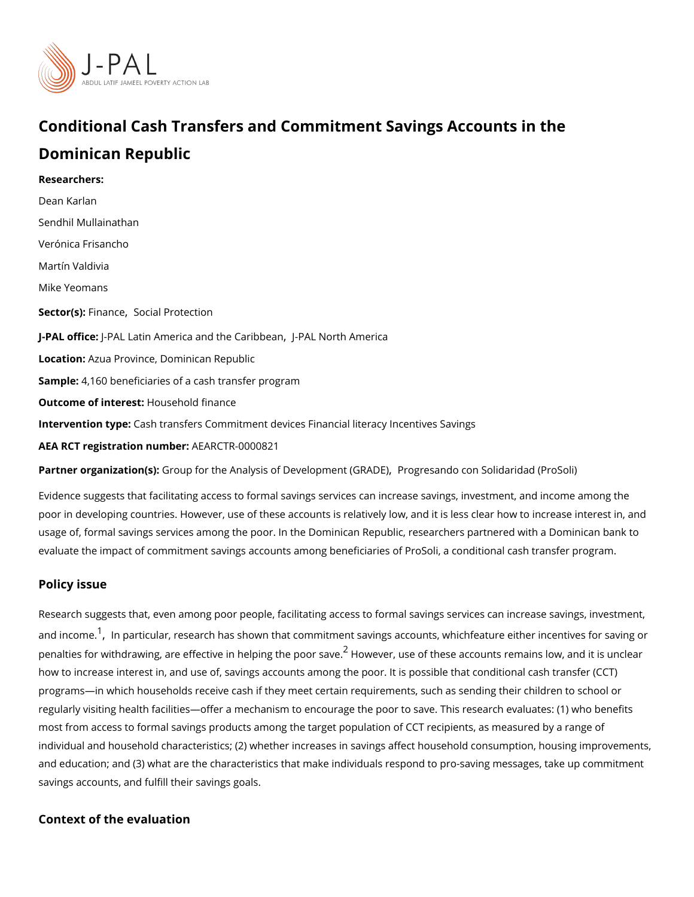## Conditional Cash Transfers and Commitment Savings Accour Dominican Republic

Researchers: [Dean Ka](https://www.povertyactionlab.org/person/karlan)rlan [Sendhil Mulla](https://www.povertyactionlab.org/person/mullainathan)inathan Verónica Frisancho Martín Valdivia Mike Yeomans Sector(Fsi)nan[,](https://www.povertyactionlab.org/sector/finance) c [Social Prot](https://www.povertyactionlab.org/sector/social-protection)ection J-PAL of tli-cPeAL Latin America and the PCA alri Not obtet and merical LocatioAzua Province, Dominican Republic Sample: 160 beneficiaries of a cash transfer program Outcome of inteHests: ehold finance Intervention to pash transfers Commitment devices Financial literacy Incentives Savings AEA RCT registration AnEuAnRbCeTR-0000821

Partner organizatGoro(usp): for the Analysis of Developpinogyntes(GGrRdAoDoEo)n Solidaridad (ProSoli)

Evidence suggests that facilitating access to formal savings services can increase saving poor in developing countries. However, use of these accounts is relatively low, and it is l usage of, formal savings services among the poor. In the Dominican Republic, researcher evaluate the impact of commitment savings accounts among beneficiaries of ProSoli, a co

## Policy issue

Research suggests that, even among poor people, facilitating access to formal savings se and incomen particular[,](#page-2-0) research has shown that commitment savings accounts, whichfeat penalties for withdrawing, are effective in $^2$  $^2$  H-edpviengetheuspeoorf slavese accounts remains low, a how to increase interest in, and use of, savings accounts among the poor. It is possible t programs in which households receive cash if they meet certain requirements, such as sen regularly visiting health facilities offer a mechanism to encourage the poor to save. This most from access to formal savings products among the target population of CCT recipien individual and household characteristics; (2) whether increases in savings affect househo and education; and (3) what are the characteristics that make individuals respond to prosavings accounts, and fulfill their savings goals.

Context of the evaluation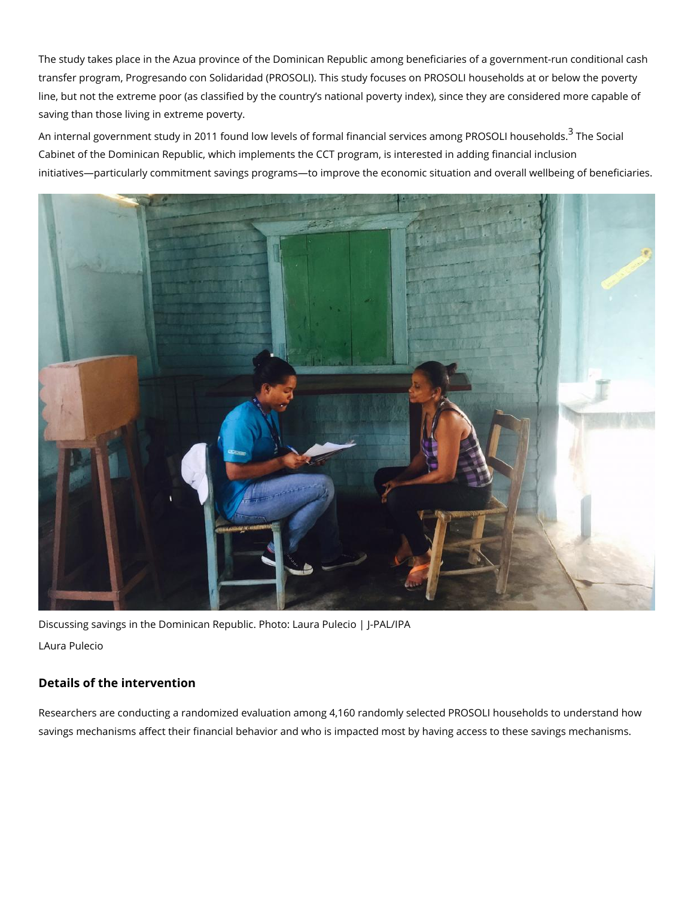The study takes place in the Azua province of the Dominican Republic among beneficiarie transfer program, Progresando con Solidaridad (PROSOLI). This study focuses on PROSOI line, but not the extreme poor (as classified by the country s national poverty index), sin saving than those living in extreme poverty.

An internal government study in 2011 found low levels of formal financial semewiSconsian line on g Cabinet of the Dominican Republic, which implements the CCT program, is interested in a initiatives particularly commitment savings programs to improve the economic situation ar

Discussing savings in the Dominican Republic. Photo: Laura Pulecio | J-PAL/IPA LAura Pulecio

Details of the intervention

Researchers are conducting a randomized evaluation among 4,160 randomly selected PRO savings mechanisms affect their financial behavior and who is impacted most by having ad